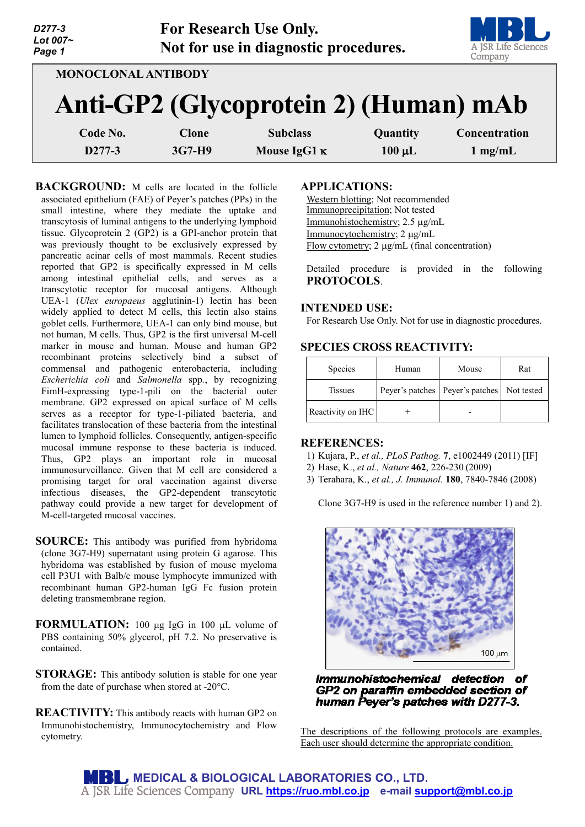| D277-3<br>Lot 007~<br>Page 1 |              | <b>For Research Use Only.</b><br>Not for use in diagnostic procedures. |             | A JSR Life Sciences<br>Company |
|------------------------------|--------------|------------------------------------------------------------------------|-------------|--------------------------------|
| <b>MONOCLONAL ANTIBODY</b>   |              |                                                                        |             |                                |
|                              |              | Anti-GP2 (Glycoprotein 2) (Human) mAb                                  |             |                                |
| Code No.                     | <b>Clone</b> | <b>Subclass</b>                                                        | Quantity    | Concentration                  |
| D277-3                       | 3G7-H9       | Mouse IgG1 K                                                           | $100 \mu L$ | $1 \text{ mg/mL}$              |

**BACKGROUND:** M cells are located in the follicle associated epithelium (FAE) of Peyer's patches (PPs) in the small intestine, where they mediate the uptake and transcytosis of luminal antigens to the underlying lymphoid tissue. Glycoprotein 2 (GP2) is a GPI-anchor protein that was previously thought to be exclusively expressed by pancreatic acinar cells of most mammals. Recent studies reported that GP2 is specifically expressed in M cells among intestinal epithelial cells, and serves as a transcytotic receptor for mucosal antigens. Although UEA-1 (*Ulex europaeus* agglutinin-1) lectin has been widely applied to detect M cells, this lectin also stains goblet cells. Furthermore, UEA-1 can only bind mouse, but not human, M cells. Thus, GP2 is the first universal M-cell marker in mouse and human. Mouse and human GP2 recombinant proteins selectively bind a subset of commensal and pathogenic enterobacteria, including *Escherichia coli* and *Salmonella* spp*.*, by recognizing FimH-expressing type-1-pili on the bacterial outer membrane. GP2 expressed on apical surface of M cells serves as a receptor for type-1-piliated bacteria, and facilitates translocation of these bacteria from the intestinal lumen to lymphoid follicles. Consequently, antigen-specific mucosal immune response to these bacteria is induced. Thus, GP2 plays an important role in mucosal immunosurveillance. Given that M cell are considered a promising target for oral vaccination against diverse infectious diseases, the GP2-dependent transcytotic pathway could provide a new target for development of M-cell-targeted mucosal vaccines.

- **SOURCE:** This antibody was purified from hybridoma (clone 3G7-H9) supernatant using protein G agarose. This hybridoma was established by fusion of mouse myeloma cell P3U1 with Balb/c mouse lymphocyte immunized with recombinant human GP2-human IgG Fc fusion protein deleting transmembrane region.
- **FORMULATION:** 100 µg IgG in 100 µL volume of PBS containing 50% glycerol, pH 7.2. No preservative is contained.
- **STORAGE:** This antibody solution is stable for one year from the date of purchase when stored at -20°C.
- **REACTIVITY:** This antibody reacts with human GP2 on Immunohistochemistry, Immunocytochemistry and Flow cytometry.

#### **APPLICATIONS:**

Western blotting; Not recommended Immunoprecipitation; Not tested Immunohistochemistry; 2.5 µg/mL Immunocytochemistry; 2 µg/mL Flow cytometry; 2 µg/mL (final concentration)

Detailed procedure is provided in the following **PROTOCOLS**.

## **INTENDED USE:**

For Research Use Only. Not for use in diagnostic procedures.

# **SPECIES CROSS REACTIVITY:**

| Species           | Human | Mouse                                          | Rat |
|-------------------|-------|------------------------------------------------|-----|
| <b>Tissues</b>    |       | Peyer's patches   Peyer's patches   Not tested |     |
| Reactivity on IHC |       |                                                |     |

#### **REFERENCES:**

- 1) Kujara, P., *et al., PLoS Pathog.* **7**, e1002449 (2011) [IF]
- 2) Hase, K., *et al., Nature* **462**, 226-230 (2009)
- 3) Terahara, K., *et al., J. Immunol.* **180**, 7840-7846 (2008)

Clone 3G7-H9 is used in the reference number 1) and 2).



Immunohistochemical detection of GP2 on paraffin embedded section of human Peyer's patches with D277-3.

The descriptions of the following protocols are examples. Each user should determine the appropriate condition.